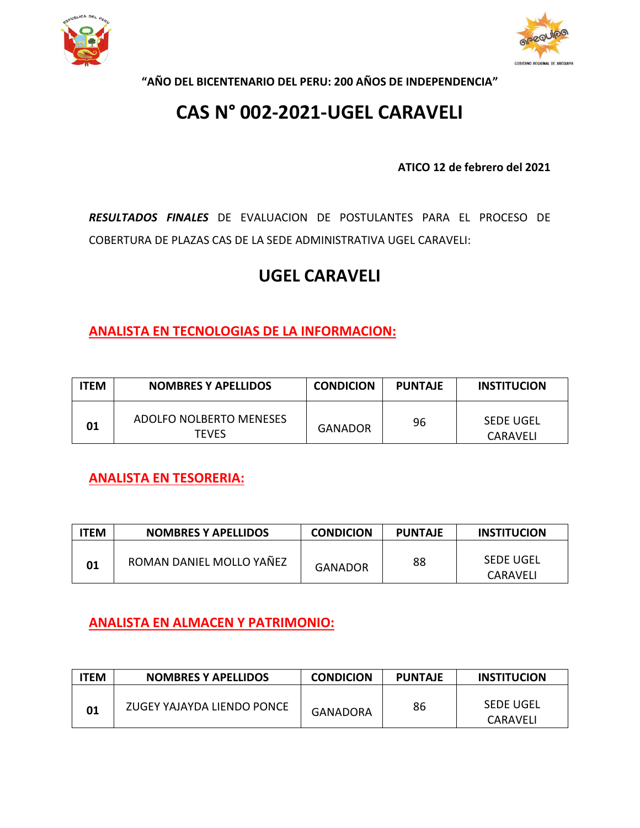



**"AÑO DEL BICENTENARIO DEL PERU: 200 AÑOS DE INDEPENDENCIA"**

# **CAS N° 002-2021-UGEL CARAVELI**

**ATICO 12 de febrero del 2021**

*RESULTADOS FINALES* DE EVALUACION DE POSTULANTES PARA EL PROCESO DE COBERTURA DE PLAZAS CAS DE LA SEDE ADMINISTRATIVA UGEL CARAVELI:

## **UGEL CARAVELI**

**ANALISTA EN TECNOLOGIAS DE LA INFORMACION:**

| <b>TEM</b> | <b>NOMBRES Y APELLIDOS</b>              | <b>CONDICION</b> | <b>PUNTAJE</b> | <b>INSTITUCION</b>    |
|------------|-----------------------------------------|------------------|----------------|-----------------------|
| 01         | ADOLFO NOLBERTO MENESES<br><b>TFVFS</b> | <b>GANADOR</b>   | 96             | SEDE UGEL<br>CARAVELI |

**ANALISTA EN TESORERIA:**

| <b>ITEM</b> | <b>NOMBRES Y APELLIDOS</b> | <b>CONDICION</b> | <b>PUNTAJE</b> | <b>INSTITUCION</b>    |
|-------------|----------------------------|------------------|----------------|-----------------------|
| 01          | ROMAN DANIEL MOLLO YAÑEZ   | GANADOR          | 88             | SEDE UGEL<br>CARAVELI |

**ANALISTA EN ALMACEN Y PATRIMONIO:**

| <b>ITEM</b> | <b>NOMBRES Y APELLIDOS</b> | <b>CONDICION</b> | <b>PUNTAJE</b> | <b>INSTITUCION</b>    |
|-------------|----------------------------|------------------|----------------|-----------------------|
| 01          | ZUGEY YAJAYDA LIENDO PONCE | GANADORA         | 86             | SEDE UGEL<br>CARAVELI |